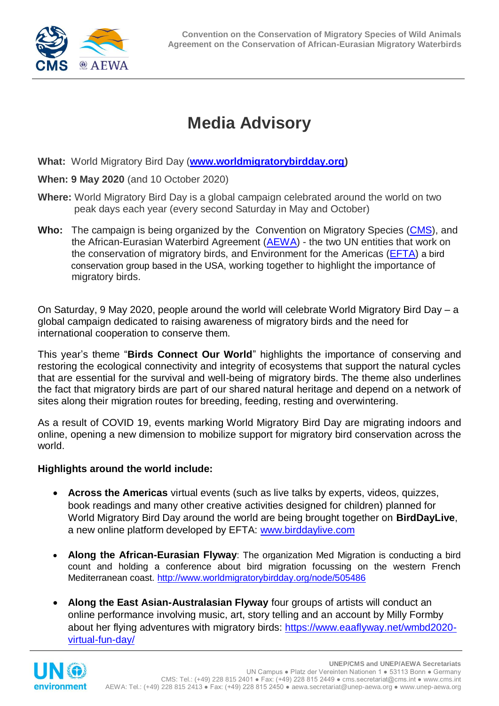

## **Media Advisory**

**What:** World Migratory Bird Day (**[www.worldmigratorybirdday.org\)](http://www.worldmigratorybirdday.org/)** 

**When: 9 May 2020** (and 10 October 2020)

- **Where:** World Migratory Bird Day is a global campaign celebrated around the world on two peak days each year (every second Saturday in May and October)
- **Who:** The campaign is being organized by the Convention on Migratory Species [\(CMS\)](http://www.cms.int/), and the African-Eurasian Waterbird Agreement (**AEWA**) - the two UN entities that work on the conservation of migratory birds, and Environment for the Americas [\(EFTA\)](https://www.environmentamericas.org/) a bird conservation group based in the USA, working together to highlight the importance of migratory birds.

On Saturday, 9 May 2020, people around the world will celebrate World Migratory Bird Day – a global campaign dedicated to raising awareness of migratory birds and the need for international cooperation to conserve them.

This year's theme "**Birds Connect Our World**" highlights the importance of conserving and restoring the ecological connectivity and integrity of ecosystems that support the natural cycles that are essential for the survival and well-being of migratory birds. The theme also underlines the fact that migratory birds are part of our shared natural heritage and depend on a network of sites along their migration routes for breeding, feeding, resting and overwintering.

As a result of COVID 19, events marking World Migratory Bird Day are migrating indoors and online, opening a new dimension to mobilize support for migratory bird conservation across the world.

## **Highlights around the world include:**

- **Across the Americas** virtual events (such as live talks by experts, videos, quizzes, book readings and many other creative activities designed for children) planned for World Migratory Bird Day around the world are being brought together on **BirdDayLive**, a new online platform developed by EFTA: [www.birddaylive.com](http://www.birddaylive.com/)
- **Along the African-Eurasian Flyway**: The organization Med Migration is conducting a bird count and holding a conference about bird migration focussing on the western French Mediterranean coast.<http://www.worldmigratorybirdday.org/node/505486>
- **Along the East Asian-Australasian Flyway** four groups of artists will conduct an online performance involving music, art, story telling and an account by Milly Formby about her flying adventures with migratory birds: [https://www.eaaflyway.net/wmbd2020](https://www.eaaflyway.net/wmbd2020-virtual-fun-day/) [virtual-fun-day/](https://www.eaaflyway.net/wmbd2020-virtual-fun-day/)